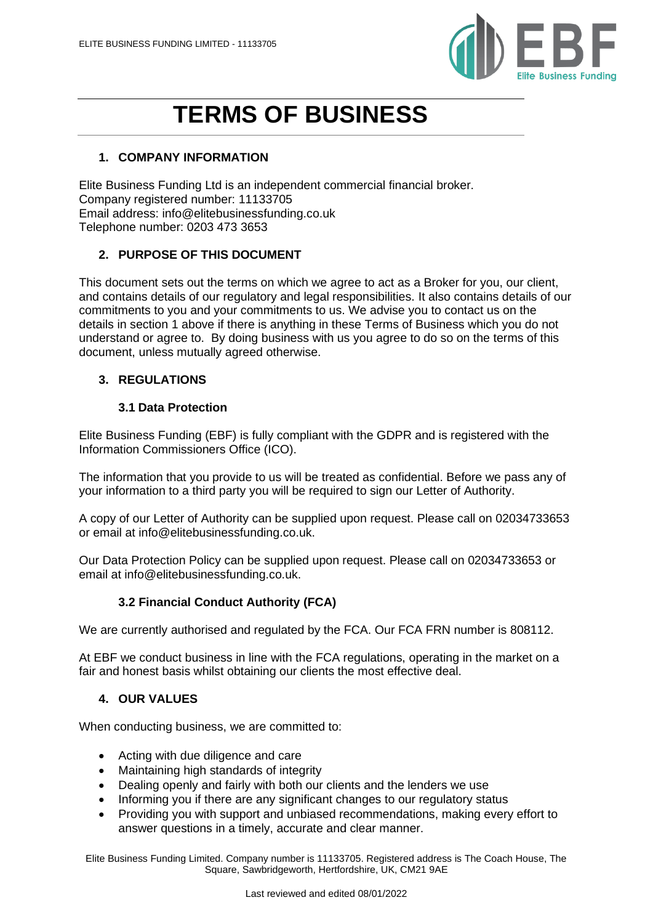

# **TERMS OF BUSINESS**

# **1. COMPANY INFORMATION**

Elite Business Funding Ltd is an independent commercial financial broker. Company registered number: 11133705 Email address: info@elitebusinessfunding.co.uk Telephone number: 0203 473 3653

## **2. PURPOSE OF THIS DOCUMENT**

This document sets out the terms on which we agree to act as a Broker for you, our client, and contains details of our regulatory and legal responsibilities. It also contains details of our commitments to you and your commitments to us. We advise you to contact us on the details in section 1 above if there is anything in these Terms of Business which you do not understand or agree to. By doing business with us you agree to do so on the terms of this document, unless mutually agreed otherwise.

## **3. REGULATIONS**

## **3.1 Data Protection**

Elite Business Funding (EBF) is fully compliant with the GDPR and is registered with the Information Commissioners Office (ICO).

The information that you provide to us will be treated as confidential. Before we pass any of your information to a third party you will be required to sign our Letter of Authority.

A copy of our Letter of Authority can be supplied upon request. Please call on 02034733653 or email at info@elitebusinessfunding.co.uk.

Our Data Protection Policy can be supplied upon request. Please call on 02034733653 or email at info@elitebusinessfunding.co.uk.

## **3.2 Financial Conduct Authority (FCA)**

We are currently authorised and regulated by the FCA. Our FCA FRN number is 808112.

At EBF we conduct business in line with the FCA regulations, operating in the market on a fair and honest basis whilst obtaining our clients the most effective deal.

#### **4. OUR VALUES**

When conducting business, we are committed to:

- Acting with due diligence and care
- Maintaining high standards of integrity
- Dealing openly and fairly with both our clients and the lenders we use
- Informing you if there are any significant changes to our regulatory status
- Providing you with support and unbiased recommendations, making every effort to answer questions in a timely, accurate and clear manner.

Elite Business Funding Limited. Company number is 11133705. Registered address is The Coach House, The Square, Sawbridgeworth, Hertfordshire, UK, CM21 9AE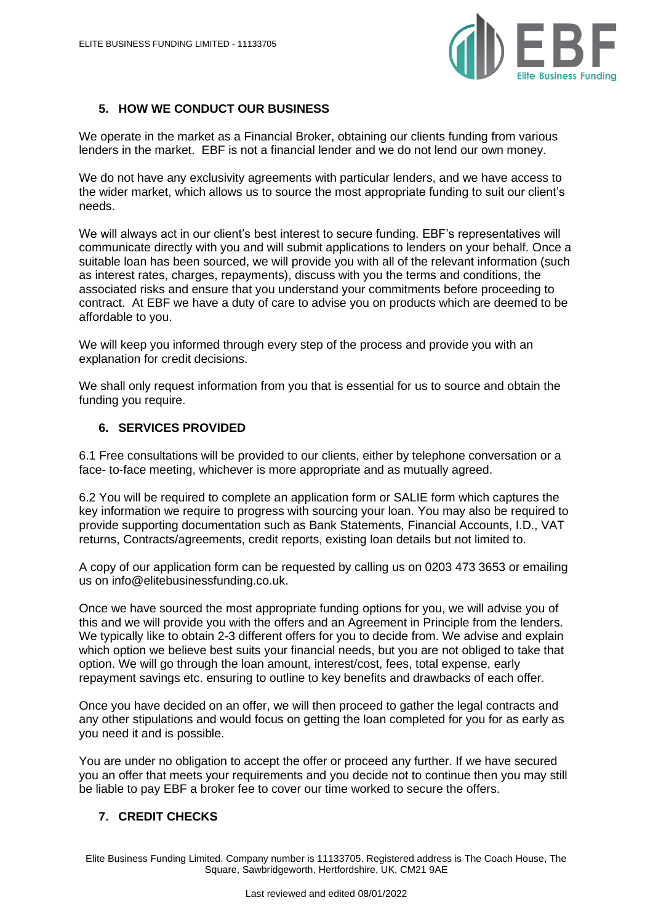

# **5. HOW WE CONDUCT OUR BUSINESS**

We operate in the market as a Financial Broker, obtaining our clients funding from various lenders in the market. EBF is not a financial lender and we do not lend our own money.

We do not have any exclusivity agreements with particular lenders, and we have access to the wider market, which allows us to source the most appropriate funding to suit our client's needs.

We will always act in our client's best interest to secure funding. EBF's representatives will communicate directly with you and will submit applications to lenders on your behalf. Once a suitable loan has been sourced, we will provide you with all of the relevant information (such as interest rates, charges, repayments), discuss with you the terms and conditions, the associated risks and ensure that you understand your commitments before proceeding to contract. At EBF we have a duty of care to advise you on products which are deemed to be affordable to you.

We will keep you informed through every step of the process and provide you with an explanation for credit decisions.

We shall only request information from you that is essential for us to source and obtain the funding you require.

#### **6. SERVICES PROVIDED**

6.1 Free consultations will be provided to our clients, either by telephone conversation or a face- to-face meeting, whichever is more appropriate and as mutually agreed.

6.2 You will be required to complete an application form or SALIE form which captures the key information we require to progress with sourcing your loan. You may also be required to provide supporting documentation such as Bank Statements, Financial Accounts, I.D., VAT returns, Contracts/agreements, credit reports, existing loan details but not limited to.

A copy of our application form can be requested by calling us on 0203 473 3653 or emailing us on info@elitebusinessfunding.co.uk.

Once we have sourced the most appropriate funding options for you, we will advise you of this and we will provide you with the offers and an Agreement in Principle from the lenders. We typically like to obtain 2-3 different offers for you to decide from. We advise and explain which option we believe best suits your financial needs, but you are not obliged to take that option. We will go through the loan amount, interest/cost, fees, total expense, early repayment savings etc. ensuring to outline to key benefits and drawbacks of each offer.

Once you have decided on an offer, we will then proceed to gather the legal contracts and any other stipulations and would focus on getting the loan completed for you for as early as you need it and is possible.

You are under no obligation to accept the offer or proceed any further. If we have secured you an offer that meets your requirements and you decide not to continue then you may still be liable to pay EBF a broker fee to cover our time worked to secure the offers.

#### **7. CREDIT CHECKS**

Elite Business Funding Limited. Company number is 11133705. Registered address is The Coach House, The Square, Sawbridgeworth, Hertfordshire, UK, CM21 9AE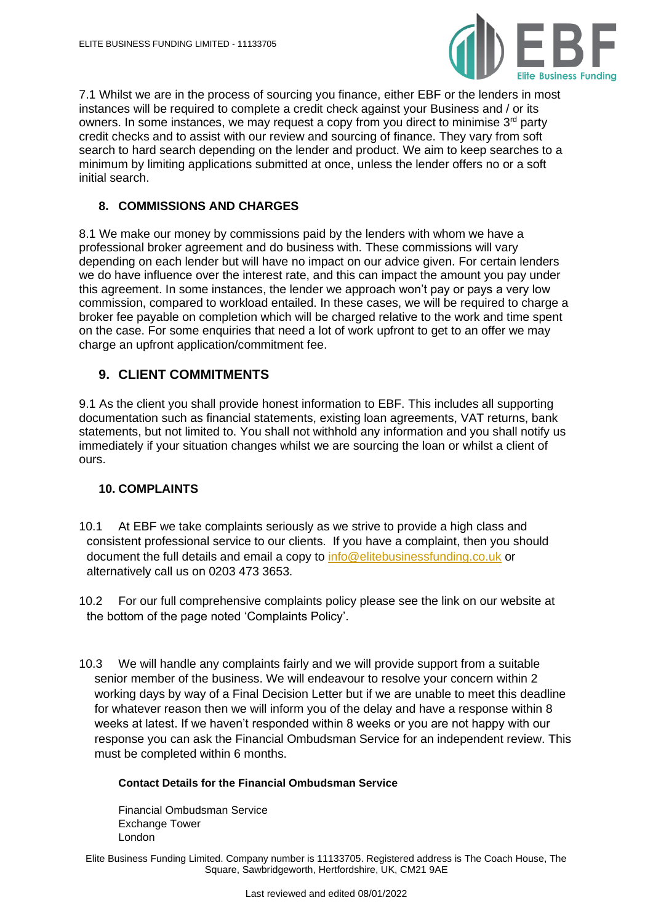

7.1 Whilst we are in the process of sourcing you finance, either EBF or the lenders in most instances will be required to complete a credit check against your Business and / or its owners. In some instances, we may request a copy from you direct to minimise 3<sup>rd</sup> party credit checks and to assist with our review and sourcing of finance. They vary from soft search to hard search depending on the lender and product. We aim to keep searches to a minimum by limiting applications submitted at once, unless the lender offers no or a soft initial search.

### **8. COMMISSIONS AND CHARGES**

8.1 We make our money by commissions paid by the lenders with whom we have a professional broker agreement and do business with. These commissions will vary depending on each lender but will have no impact on our advice given. For certain lenders we do have influence over the interest rate, and this can impact the amount you pay under this agreement. In some instances, the lender we approach won't pay or pays a very low commission, compared to workload entailed. In these cases, we will be required to charge a broker fee payable on completion which will be charged relative to the work and time spent on the case. For some enquiries that need a lot of work upfront to get to an offer we may charge an upfront application/commitment fee.

## **9. CLIENT COMMITMENTS**

9.1 As the client you shall provide honest information to EBF. This includes all supporting documentation such as financial statements, existing loan agreements, VAT returns, bank statements, but not limited to. You shall not withhold any information and you shall notify us immediately if your situation changes whilst we are sourcing the loan or whilst a client of ours.

## **10. COMPLAINTS**

- 10.1 At EBF we take complaints seriously as we strive to provide a high class and consistent professional service to our clients. If you have a complaint, then you should document the full details and email a copy to [info@elitebusinessfunding.co.uk](mailto:info@elitebusinessfunding.co.uk) or alternatively call us on 0203 473 3653.
- 10.2 For our full comprehensive complaints policy please see the link on our website at the bottom of the page noted 'Complaints Policy'.
- 10.3 We will handle any complaints fairly and we will provide support from a suitable senior member of the business. We will endeavour to resolve your concern within 2 working days by way of a Final Decision Letter but if we are unable to meet this deadline for whatever reason then we will inform you of the delay and have a response within 8 weeks at latest. If we haven't responded within 8 weeks or you are not happy with our response you can ask the Financial Ombudsman Service for an independent review. This must be completed within 6 months.

#### **Contact Details for the Financial Ombudsman Service**

Financial Ombudsman Service Exchange Tower London

Elite Business Funding Limited. Company number is 11133705. Registered address is The Coach House, The Square, Sawbridgeworth, Hertfordshire, UK, CM21 9AE